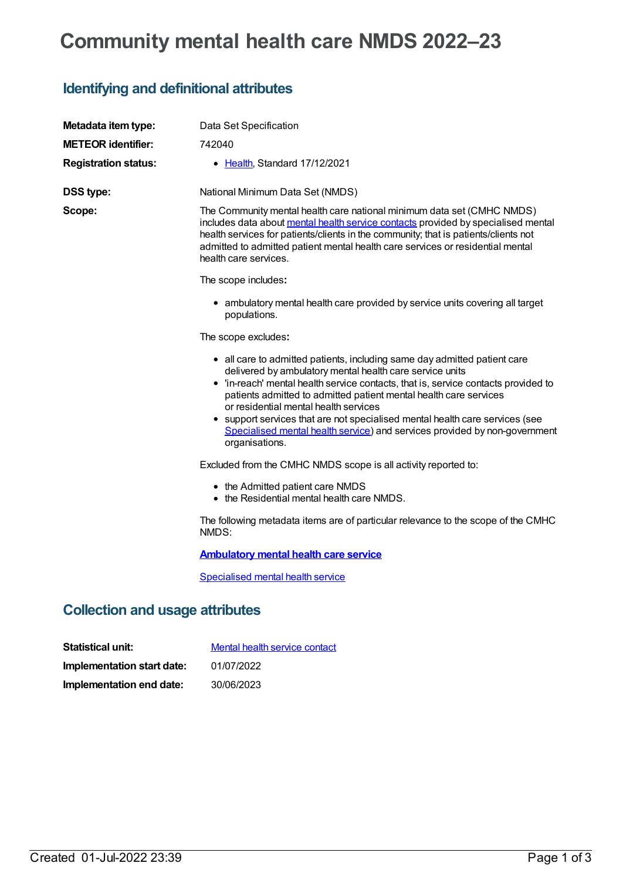## **Community mental health care NMDS 2022–23**

## **Identifying and definitional attributes**

| Metadata item type:         | Data Set Specification                                                                                                                                                                                                                                                                                                                                                                                                                                                                                                    |
|-----------------------------|---------------------------------------------------------------------------------------------------------------------------------------------------------------------------------------------------------------------------------------------------------------------------------------------------------------------------------------------------------------------------------------------------------------------------------------------------------------------------------------------------------------------------|
| <b>METEOR identifier:</b>   | 742040                                                                                                                                                                                                                                                                                                                                                                                                                                                                                                                    |
| <b>Registration status:</b> | • Health, Standard 17/12/2021                                                                                                                                                                                                                                                                                                                                                                                                                                                                                             |
| DSS type:                   | National Minimum Data Set (NMDS)                                                                                                                                                                                                                                                                                                                                                                                                                                                                                          |
| Scope:                      | The Community mental health care national minimum data set (CMHC NMDS)<br>includes data about mental health service contacts provided by specialised mental<br>health services for patients/clients in the community; that is patients/clients not<br>admitted to admitted patient mental health care services or residential mental<br>health care services.                                                                                                                                                             |
|                             | The scope includes:                                                                                                                                                                                                                                                                                                                                                                                                                                                                                                       |
|                             | • ambulatory mental health care provided by service units covering all target<br>populations.                                                                                                                                                                                                                                                                                                                                                                                                                             |
|                             | The scope excludes:                                                                                                                                                                                                                                                                                                                                                                                                                                                                                                       |
|                             | • all care to admitted patients, including same day admitted patient care<br>delivered by ambulatory mental health care service units<br>• 'in-reach' mental health service contacts, that is, service contacts provided to<br>patients admitted to admitted patient mental health care services<br>or residential mental health services<br>• support services that are not specialised mental health care services (see<br>Specialised mental health service) and services provided by non-government<br>organisations. |
|                             | Excluded from the CMHC NMDS scope is all activity reported to:                                                                                                                                                                                                                                                                                                                                                                                                                                                            |
|                             | • the Admitted patient care NMDS<br>• the Residential mental health care NMDS.                                                                                                                                                                                                                                                                                                                                                                                                                                            |
|                             | The following metadata items are of particular relevance to the scope of the CMHC<br>NMDS:                                                                                                                                                                                                                                                                                                                                                                                                                                |
|                             | <b>Ambulatory mental health care service</b>                                                                                                                                                                                                                                                                                                                                                                                                                                                                              |
|                             | Specialised mental health service                                                                                                                                                                                                                                                                                                                                                                                                                                                                                         |

## **Collection and usage attributes**

| <b>Statistical unit:</b>   | Mental health service contact |
|----------------------------|-------------------------------|
| Implementation start date: | 01/07/2022                    |
| Implementation end date:   | 30/06/2023                    |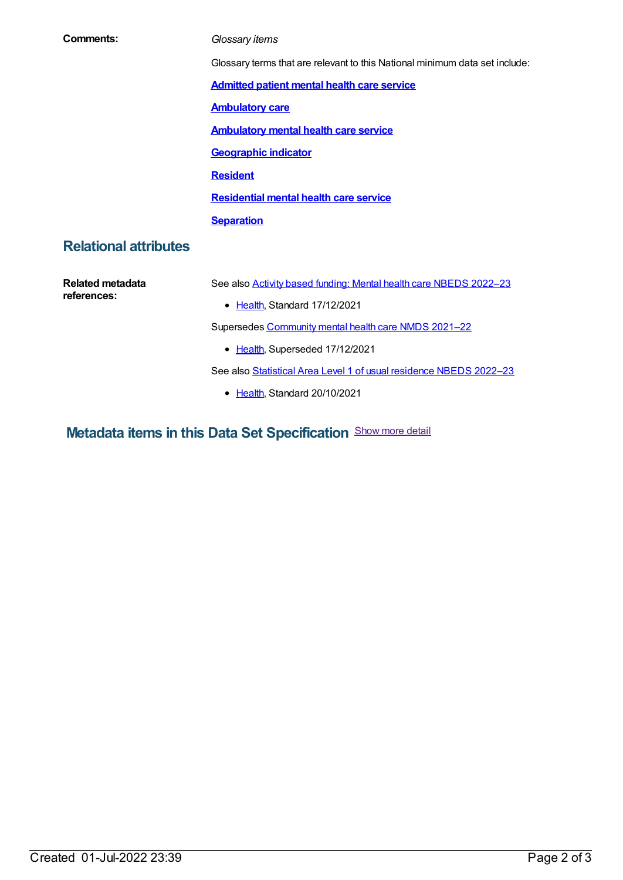| Comments:                    | Glossary items                                                              |  |
|------------------------------|-----------------------------------------------------------------------------|--|
|                              | Glossary terms that are relevant to this National minimum data set include: |  |
|                              | <b>Admitted patient mental health care service</b>                          |  |
|                              | <b>Ambulatory care</b>                                                      |  |
|                              | <b>Ambulatory mental health care service</b>                                |  |
|                              | <b>Geographic indicator</b>                                                 |  |
|                              | <b>Resident</b>                                                             |  |
|                              | <b>Residential mental health care service</b>                               |  |
|                              | <b>Separation</b>                                                           |  |
| <b>Relational attributes</b> |                                                                             |  |
| <b>Related metadata</b>      | See also <b>Activity based funding: Mental health care NBEDS 2022-23</b>    |  |
| references:                  | • Health, Standard 17/12/2021                                               |  |
|                              |                                                                             |  |
|                              | Supersedes Community mental health care NMDS 2021-22                        |  |
|                              | • Health, Superseded 17/12/2021                                             |  |
|                              | See also Statistical Area Level 1 of usual residence NBEDS 2022-23          |  |

**Metadata items in this Data Set Specification** Show more detail